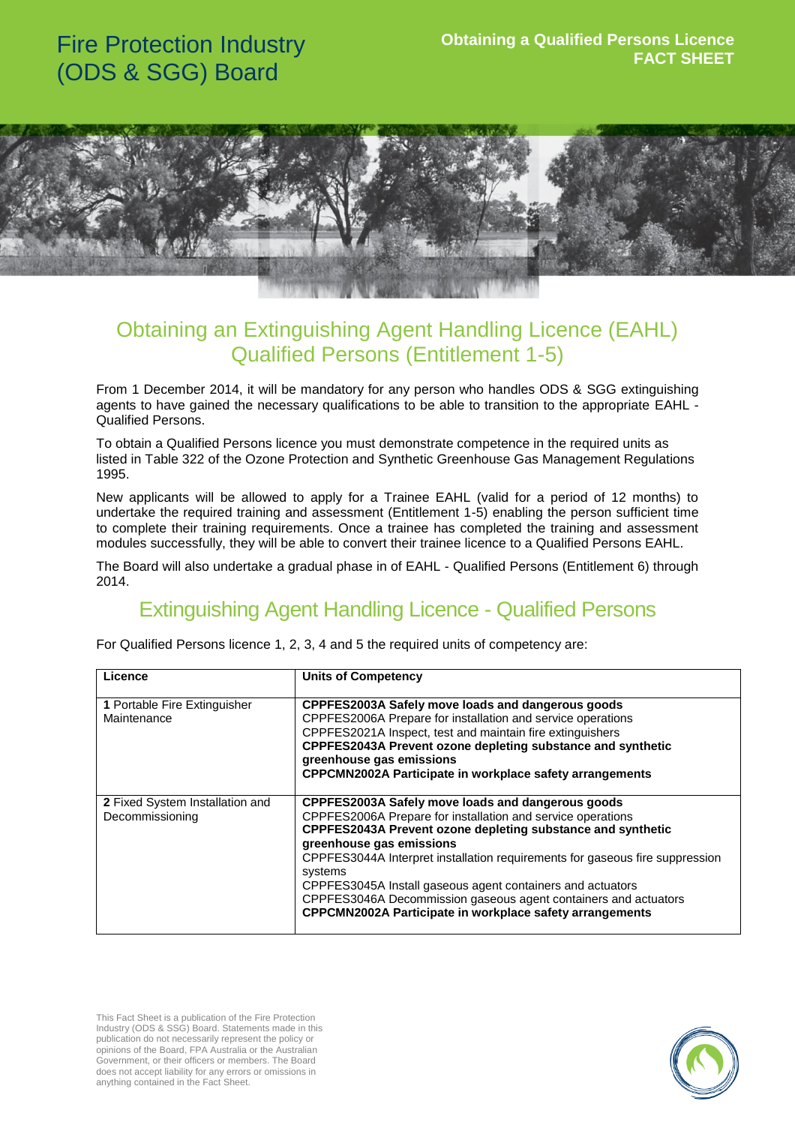# Fire Protection Industry (ODS & SGG) Board



### Obtaining an Extinguishing Agent Handling Licence (EAHL) Qualified Persons (Entitlement 1-5)

From 1 December 2014, it will be mandatory for any person who handles ODS & SGG extinguishing agents to have gained the necessary qualifications to be able to transition to the appropriate EAHL - Qualified Persons.

To obtain a Qualified Persons licence you must demonstrate competence in the required units as listed in Table 322 of the Ozone Protection and Synthetic Greenhouse Gas Management Regulations 1995.

New applicants will be allowed to apply for a Trainee EAHL (valid for a period of 12 months) to undertake the required training and assessment (Entitlement 1-5) enabling the person sufficient time to complete their training requirements. Once a trainee has completed the training and assessment modules successfully, they will be able to convert their trainee licence to a Qualified Persons EAHL.

The Board will also undertake a gradual phase in of EAHL - Qualified Persons (Entitlement 6) through 2014.

### Extinguishing Agent Handling Licence - Qualified Persons

| For Qualified Persons licence 1, 2, 3, 4 and 5 the required units of competency are: |  |  |  |  |  |  |
|--------------------------------------------------------------------------------------|--|--|--|--|--|--|
|                                                                                      |  |  |  |  |  |  |

| Licence                                            | <b>Units of Competency</b>                                                                                                                                                                                                                                                                                                                                                                                                                                                                                 |
|----------------------------------------------------|------------------------------------------------------------------------------------------------------------------------------------------------------------------------------------------------------------------------------------------------------------------------------------------------------------------------------------------------------------------------------------------------------------------------------------------------------------------------------------------------------------|
| 1 Portable Fire Extinguisher<br>Maintenance        | CPPFES2003A Safely move loads and dangerous goods<br>CPPFES2006A Prepare for installation and service operations<br>CPPFES2021A Inspect, test and maintain fire extinguishers<br>CPPFES2043A Prevent ozone depleting substance and synthetic<br>greenhouse gas emissions<br><b>CPPCMN2002A Participate in workplace safety arrangements</b>                                                                                                                                                                |
| 2 Fixed System Installation and<br>Decommissioning | CPPFES2003A Safely move loads and dangerous goods<br>CPPFES2006A Prepare for installation and service operations<br>CPPFES2043A Prevent ozone depleting substance and synthetic<br>greenhouse gas emissions<br>CPPFES3044A Interpret installation requirements for gaseous fire suppression<br>systems<br>CPPFES3045A Install gaseous agent containers and actuators<br>CPPFES3046A Decommission gaseous agent containers and actuators<br><b>CPPCMN2002A Participate in workplace safety arrangements</b> |

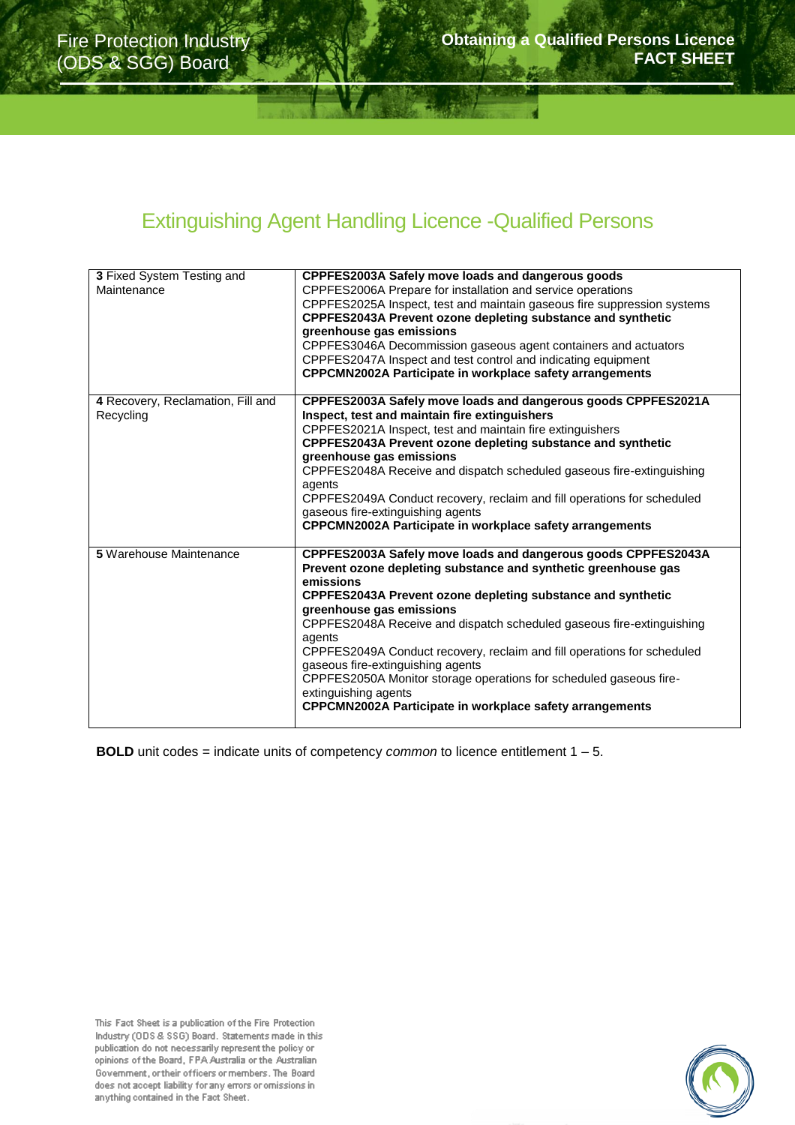## Extinguishing Agent Handling Licence -Qualified Persons

| 3 Fixed System Testing and<br>Maintenance      | CPPFES2003A Safely move loads and dangerous goods<br>CPPFES2006A Prepare for installation and service operations<br>CPPFES2025A Inspect, test and maintain gaseous fire suppression systems<br>CPPFES2043A Prevent ozone depleting substance and synthetic<br>greenhouse gas emissions<br>CPPFES3046A Decommission gaseous agent containers and actuators<br>CPPFES2047A Inspect and test control and indicating equipment<br><b>CPPCMN2002A Participate in workplace safety arrangements</b>                                                                                                               |
|------------------------------------------------|-------------------------------------------------------------------------------------------------------------------------------------------------------------------------------------------------------------------------------------------------------------------------------------------------------------------------------------------------------------------------------------------------------------------------------------------------------------------------------------------------------------------------------------------------------------------------------------------------------------|
| 4 Recovery, Reclamation, Fill and<br>Recycling | CPPFES2003A Safely move loads and dangerous goods CPPFES2021A<br>Inspect, test and maintain fire extinguishers<br>CPPFES2021A Inspect, test and maintain fire extinguishers<br>CPPFES2043A Prevent ozone depleting substance and synthetic<br>greenhouse gas emissions<br>CPPFES2048A Receive and dispatch scheduled gaseous fire-extinguishing<br>agents<br>CPPFES2049A Conduct recovery, reclaim and fill operations for scheduled<br>gaseous fire-extinguishing agents<br><b>CPPCMN2002A Participate in workplace safety arrangements</b>                                                                |
| <b>5</b> Warehouse Maintenance                 | CPPFES2003A Safely move loads and dangerous goods CPPFES2043A<br>Prevent ozone depleting substance and synthetic greenhouse gas<br>emissions<br>CPPFES2043A Prevent ozone depleting substance and synthetic<br>greenhouse gas emissions<br>CPPFES2048A Receive and dispatch scheduled gaseous fire-extinguishing<br>agents<br>CPPFES2049A Conduct recovery, reclaim and fill operations for scheduled<br>gaseous fire-extinguishing agents<br>CPPFES2050A Monitor storage operations for scheduled gaseous fire-<br>extinguishing agents<br><b>CPPCMN2002A Participate in workplace safety arrangements</b> |

**BOLD** unit codes = indicate units of competency *common* to licence entitlement 1 – 5.